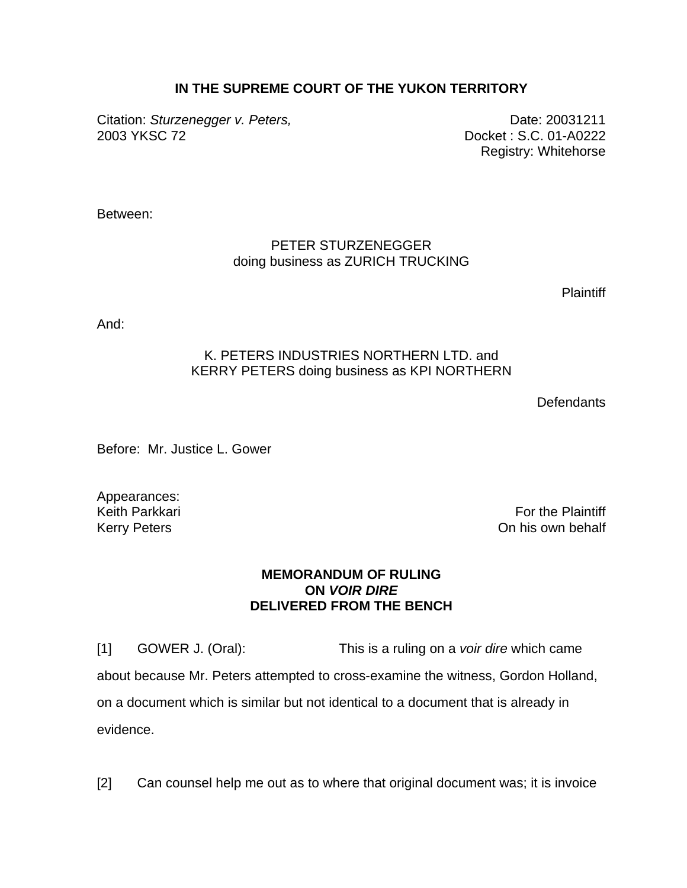## **IN THE SUPREME COURT OF THE YUKON TERRITORY**

Citation: *Sturzenegger v. Peters,* exercise the contract of Date: 20031211 2003 YKSC 72 Docket : S.C. 01-A0222

Registry: Whitehorse

Between:

## PETER STURZENEGGER doing business as ZURICH TRUCKING

**Plaintiff** 

And:

## K. PETERS INDUSTRIES NORTHERN LTD. and KERRY PETERS doing business as KPI NORTHERN

**Defendants** 

Before: Mr. Justice L. Gower

Appearances:

Keith Parkkari **For the Plaintiff** Control of the Plaintiff Control of the Plaintiff Control of the Plaintiff Control of the Plaintiff Control of the Plaintiff Control of the Plaintiff Control of the Plaintiff Control of t Kerry Peters **Contract Contract Contract Contract Contract Contract Contract Contract Contract Contract Contract Contract Contract Contract Contract Contract Contract Contract Contract Contract Contract Contract Contract C** 

## **MEMORANDUM OF RULING ON** *VOIR DIRE*  **DELIVERED FROM THE BENCH**

[1] GOWER J. (Oral): This is a ruling on a *voir dire* which came about because Mr. Peters attempted to cross-examine the witness, Gordon Holland, on a document which is similar but not identical to a document that is already in evidence.

[2] Can counsel help me out as to where that original document was; it is invoice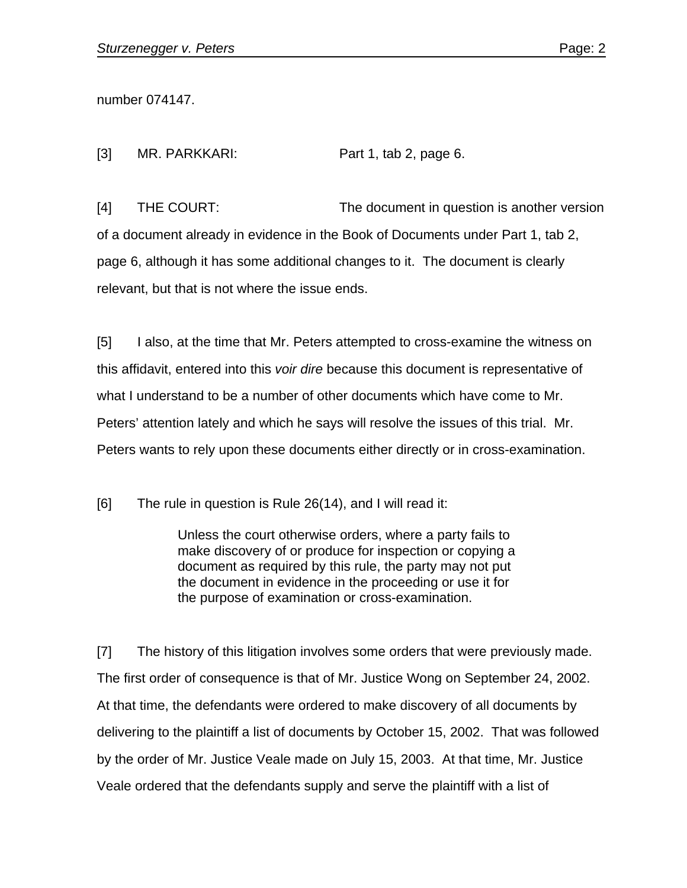number 074147.

[3] MR. PARKKARI: Part 1, tab 2, page 6.

[4] THE COURT: The document in question is another version of a document already in evidence in the Book of Documents under Part 1, tab 2, page 6, although it has some additional changes to it. The document is clearly relevant, but that is not where the issue ends.

[5] I also, at the time that Mr. Peters attempted to cross-examine the witness on this affidavit, entered into this *voir dire* because this document is representative of what I understand to be a number of other documents which have come to Mr. Peters' attention lately and which he says will resolve the issues of this trial. Mr. Peters wants to rely upon these documents either directly or in cross-examination.

[6] The rule in question is Rule 26(14), and I will read it:

Unless the court otherwise orders, where a party fails to make discovery of or produce for inspection or copying a document as required by this rule, the party may not put the document in evidence in the proceeding or use it for the purpose of examination or cross-examination.

[7] The history of this litigation involves some orders that were previously made. The first order of consequence is that of Mr. Justice Wong on September 24, 2002. At that time, the defendants were ordered to make discovery of all documents by delivering to the plaintiff a list of documents by October 15, 2002. That was followed by the order of Mr. Justice Veale made on July 15, 2003. At that time, Mr. Justice Veale ordered that the defendants supply and serve the plaintiff with a list of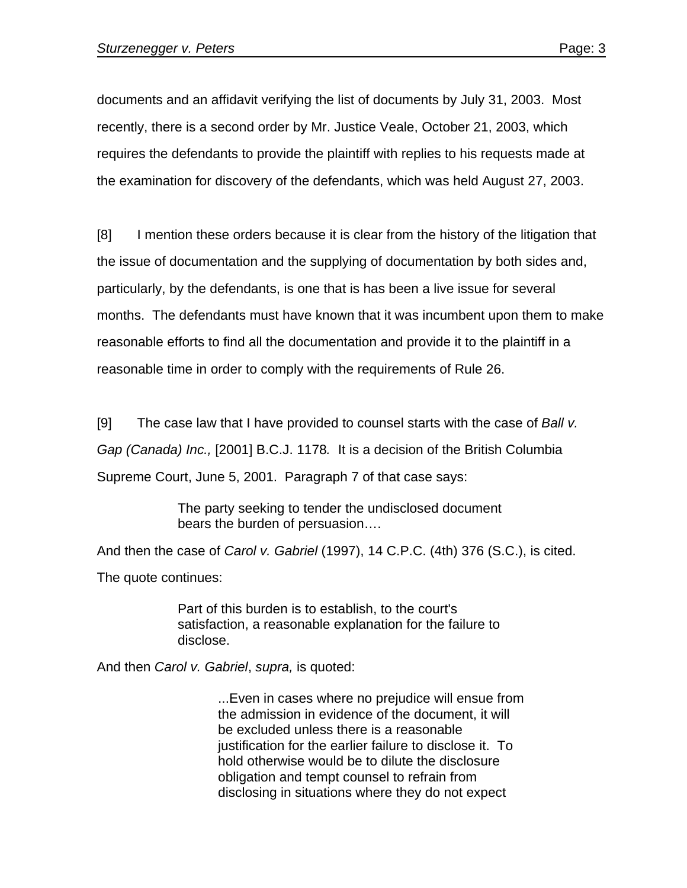documents and an affidavit verifying the list of documents by July 31, 2003. Most recently, there is a second order by Mr. Justice Veale, October 21, 2003, which requires the defendants to provide the plaintiff with replies to his requests made at the examination for discovery of the defendants, which was held August 27, 2003.

[8] I mention these orders because it is clear from the history of the litigation that the issue of documentation and the supplying of documentation by both sides and, particularly, by the defendants, is one that is has been a live issue for several months. The defendants must have known that it was incumbent upon them to make reasonable efforts to find all the documentation and provide it to the plaintiff in a reasonable time in order to comply with the requirements of Rule 26.

[9] The case law that I have provided to counsel starts with the case of *Ball v. Gap (Canada) Inc.,* [2001] B.C.J. 1178*.* It is a decision of the British Columbia Supreme Court, June 5, 2001. Paragraph 7 of that case says:

> The party seeking to tender the undisclosed document bears the burden of persuasion….

And then the case of *Carol v. Gabriel* (1997), 14 C.P.C. (4th) 376 (S.C.), is cited. The quote continues:

> Part of this burden is to establish, to the court's satisfaction, a reasonable explanation for the failure to disclose.

And then *Carol v. Gabriel*, *supra,* is quoted:

...Even in cases where no prejudice will ensue from the admission in evidence of the document, it will be excluded unless there is a reasonable justification for the earlier failure to disclose it. To hold otherwise would be to dilute the disclosure obligation and tempt counsel to refrain from disclosing in situations where they do not expect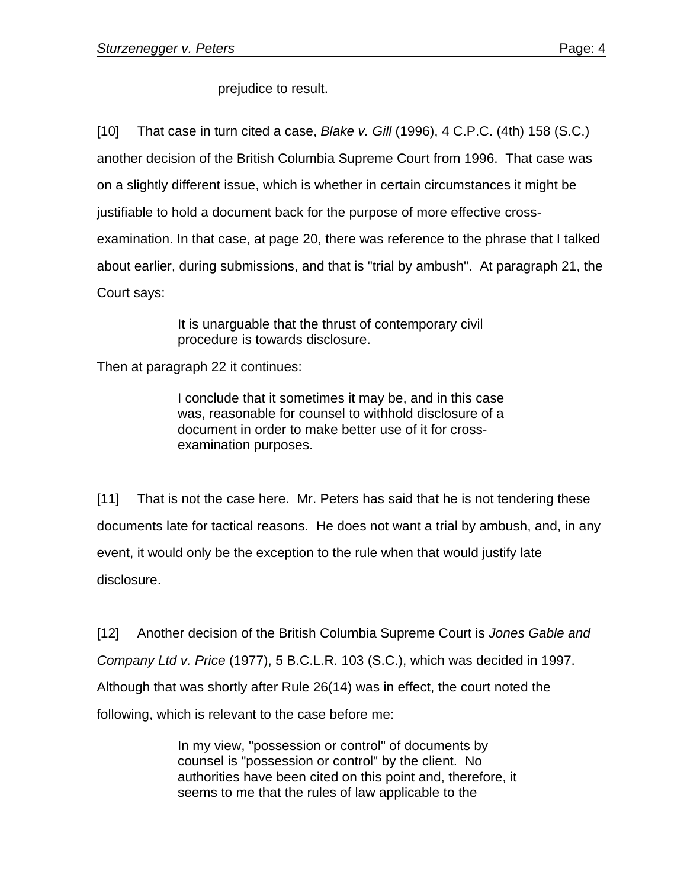prejudice to result.

[10] That case in turn cited a case, *Blake v. Gill* (1996), 4 C.P.C. (4th) 158 (S.C.) another decision of the British Columbia Supreme Court from 1996. That case was on a slightly different issue, which is whether in certain circumstances it might be justifiable to hold a document back for the purpose of more effective crossexamination. In that case, at page 20, there was reference to the phrase that I talked about earlier, during submissions, and that is "trial by ambush". At paragraph 21, the Court says:

> It is unarguable that the thrust of contemporary civil procedure is towards disclosure.

Then at paragraph 22 it continues:

I conclude that it sometimes it may be, and in this case was, reasonable for counsel to withhold disclosure of a document in order to make better use of it for crossexamination purposes.

[11] That is not the case here. Mr. Peters has said that he is not tendering these documents late for tactical reasons. He does not want a trial by ambush, and, in any event, it would only be the exception to the rule when that would justify late disclosure.

[12] Another decision of the British Columbia Supreme Court is *Jones Gable and Company Ltd v. Price* (1977), 5 B.C.L.R. 103 (S.C.), which was decided in 1997. Although that was shortly after Rule 26(14) was in effect, the court noted the following, which is relevant to the case before me:

> In my view, "possession or control" of documents by counsel is "possession or control" by the client. No authorities have been cited on this point and, therefore, it seems to me that the rules of law applicable to the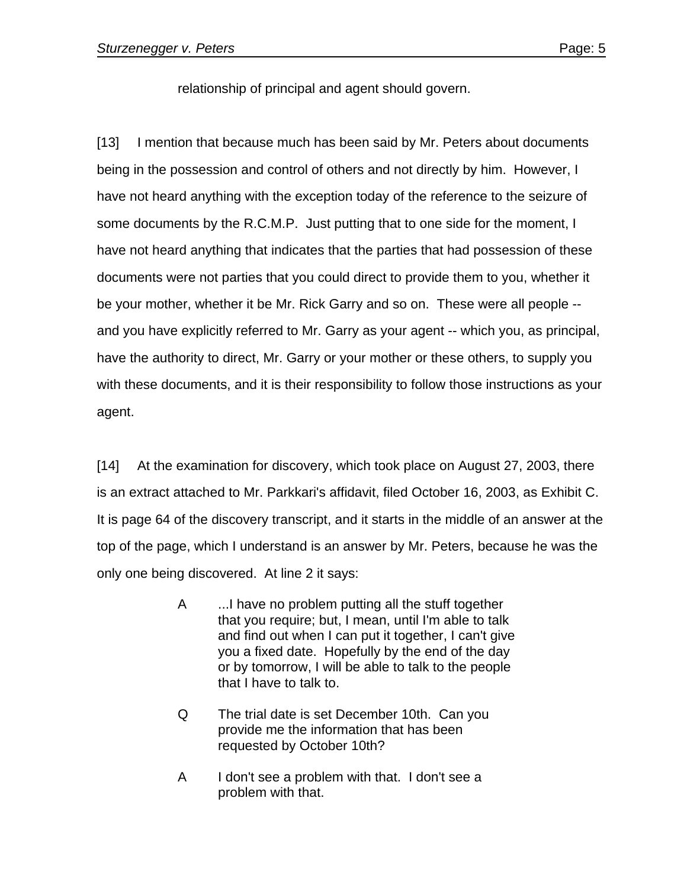relationship of principal and agent should govern.

[13] I mention that because much has been said by Mr. Peters about documents being in the possession and control of others and not directly by him. However, I have not heard anything with the exception today of the reference to the seizure of some documents by the R.C.M.P. Just putting that to one side for the moment, I have not heard anything that indicates that the parties that had possession of these documents were not parties that you could direct to provide them to you, whether it be your mother, whether it be Mr. Rick Garry and so on. These were all people - and you have explicitly referred to Mr. Garry as your agent -- which you, as principal, have the authority to direct, Mr. Garry or your mother or these others, to supply you with these documents, and it is their responsibility to follow those instructions as your agent.

[14] At the examination for discovery, which took place on August 27, 2003, there is an extract attached to Mr. Parkkari's affidavit, filed October 16, 2003, as Exhibit C. It is page 64 of the discovery transcript, and it starts in the middle of an answer at the top of the page, which I understand is an answer by Mr. Peters, because he was the only one being discovered. At line 2 it says:

- A ...I have no problem putting all the stuff together that you require; but, I mean, until I'm able to talk and find out when I can put it together, I can't give you a fixed date. Hopefully by the end of the day or by tomorrow, I will be able to talk to the people that I have to talk to.
- Q The trial date is set December 10th. Can you provide me the information that has been requested by October 10th?
- A I don't see a problem with that. I don't see a problem with that.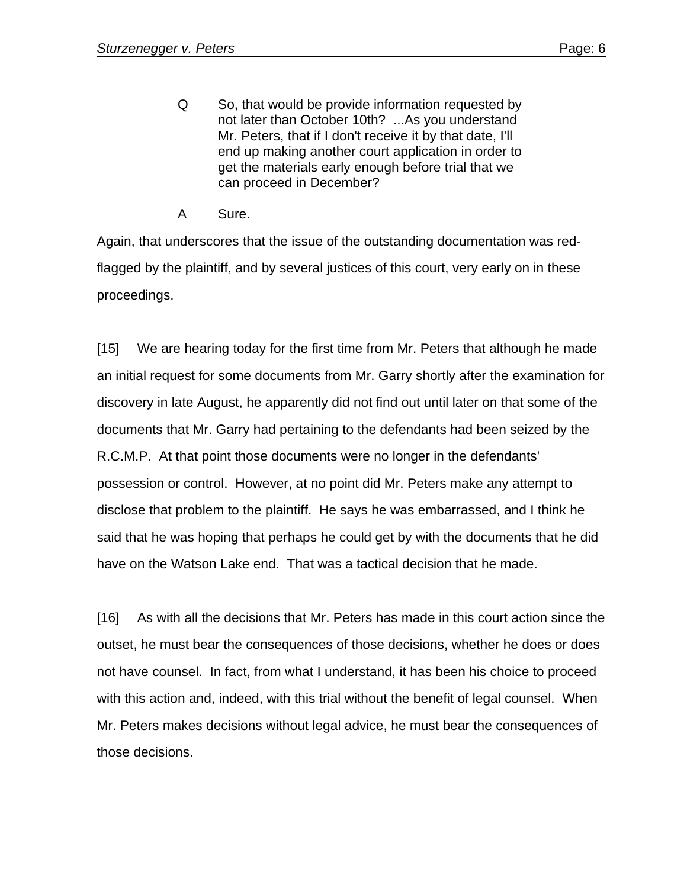- Q So, that would be provide information requested by not later than October 10th? ...As you understand Mr. Peters, that if I don't receive it by that date, I'll end up making another court application in order to get the materials early enough before trial that we can proceed in December?
- A Sure.

Again, that underscores that the issue of the outstanding documentation was redflagged by the plaintiff, and by several justices of this court, very early on in these proceedings.

[15] We are hearing today for the first time from Mr. Peters that although he made an initial request for some documents from Mr. Garry shortly after the examination for discovery in late August, he apparently did not find out until later on that some of the documents that Mr. Garry had pertaining to the defendants had been seized by the R.C.M.P. At that point those documents were no longer in the defendants' possession or control. However, at no point did Mr. Peters make any attempt to disclose that problem to the plaintiff. He says he was embarrassed, and I think he said that he was hoping that perhaps he could get by with the documents that he did have on the Watson Lake end. That was a tactical decision that he made.

[16] As with all the decisions that Mr. Peters has made in this court action since the outset, he must bear the consequences of those decisions, whether he does or does not have counsel. In fact, from what I understand, it has been his choice to proceed with this action and, indeed, with this trial without the benefit of legal counsel. When Mr. Peters makes decisions without legal advice, he must bear the consequences of those decisions.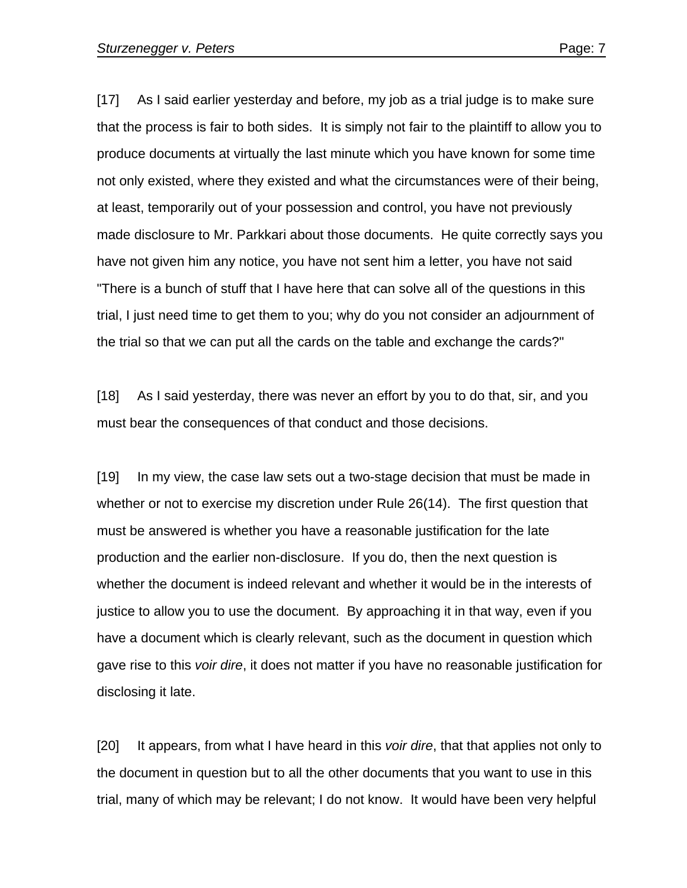[17] As I said earlier yesterday and before, my job as a trial judge is to make sure that the process is fair to both sides. It is simply not fair to the plaintiff to allow you to produce documents at virtually the last minute which you have known for some time not only existed, where they existed and what the circumstances were of their being, at least, temporarily out of your possession and control, you have not previously made disclosure to Mr. Parkkari about those documents. He quite correctly says you have not given him any notice, you have not sent him a letter, you have not said "There is a bunch of stuff that I have here that can solve all of the questions in this trial, I just need time to get them to you; why do you not consider an adjournment of the trial so that we can put all the cards on the table and exchange the cards?"

[18] As I said yesterday, there was never an effort by you to do that, sir, and you must bear the consequences of that conduct and those decisions.

[19] In my view, the case law sets out a two-stage decision that must be made in whether or not to exercise my discretion under Rule 26(14). The first question that must be answered is whether you have a reasonable justification for the late production and the earlier non-disclosure. If you do, then the next question is whether the document is indeed relevant and whether it would be in the interests of justice to allow you to use the document. By approaching it in that way, even if you have a document which is clearly relevant, such as the document in question which gave rise to this *voir dire*, it does not matter if you have no reasonable justification for disclosing it late.

[20] It appears, from what I have heard in this *voir dire*, that that applies not only to the document in question but to all the other documents that you want to use in this trial, many of which may be relevant; I do not know. It would have been very helpful